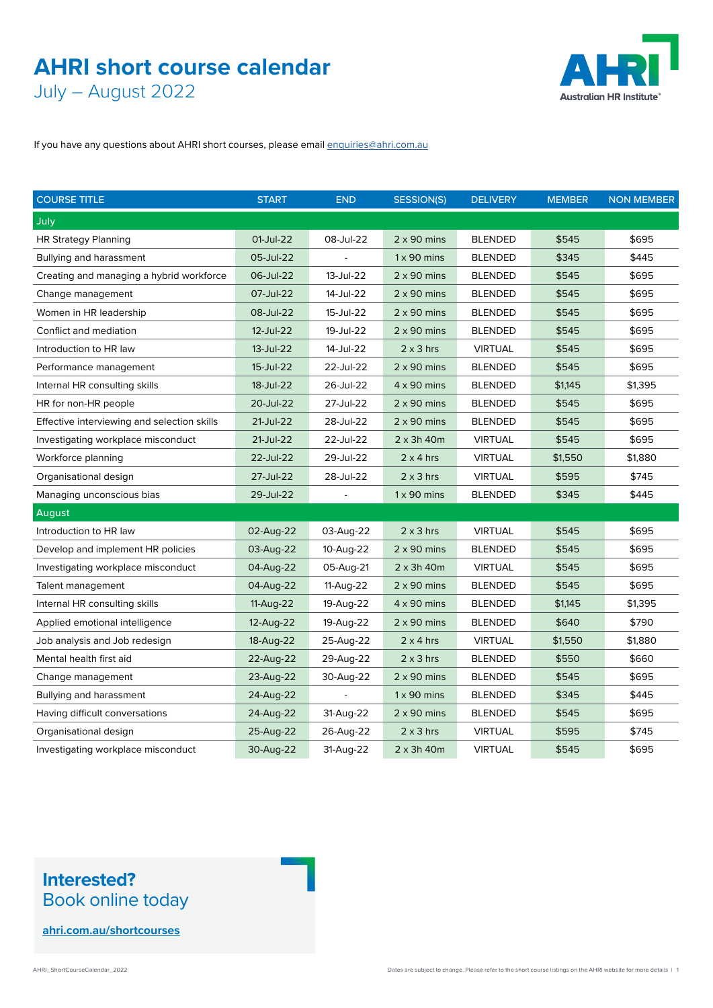### **AHRI short course calendar** July – August 2022

Australian HR Institute®

If you have any questions about AHRI short courses, please email [enquiries@ahri.com.au](mailto:enquiries%40ahri.com.au?subject=)

| <b>COURSE TITLE</b>                         | <b>START</b> | <b>END</b> | <b>SESSION(S)</b>  | <b>DELIVERY</b> | <b>MEMBER</b> | <b>NON MEMBER</b> |
|---------------------------------------------|--------------|------------|--------------------|-----------------|---------------|-------------------|
| July                                        |              |            |                    |                 |               |                   |
| <b>HR Strategy Planning</b>                 | 01-Jul-22    | 08-Jul-22  | $2 \times 90$ mins | <b>BLENDED</b>  | \$545         | \$695             |
| Bullying and harassment                     | 05-Jul-22    |            | $1 \times 90$ mins | <b>BLENDED</b>  | \$345         | \$445             |
| Creating and managing a hybrid workforce    | 06-Jul-22    | 13-Jul-22  | $2 \times 90$ mins | <b>BLENDED</b>  | \$545         | \$695             |
| Change management                           | 07-Jul-22    | 14-Jul-22  | $2 \times 90$ mins | <b>BLENDED</b>  | \$545         | \$695             |
| Women in HR leadership                      | 08-Jul-22    | 15-Jul-22  | $2 \times 90$ mins | <b>BLENDED</b>  | \$545         | \$695             |
| Conflict and mediation                      | 12-Jul-22    | 19-Jul-22  | $2 \times 90$ mins | <b>BLENDED</b>  | \$545         | \$695             |
| Introduction to HR law                      | 13-Jul-22    | 14-Jul-22  | $2 \times 3$ hrs   | <b>VIRTUAL</b>  | \$545         | \$695             |
| Performance management                      | 15-Jul-22    | 22-Jul-22  | $2 \times 90$ mins | <b>BLENDED</b>  | \$545         | \$695             |
| Internal HR consulting skills               | 18-Jul-22    | 26-Jul-22  | $4 \times 90$ mins | <b>BLENDED</b>  | \$1,145       | \$1,395           |
| HR for non-HR people                        | 20-Jul-22    | 27-Jul-22  | $2 \times 90$ mins | <b>BLENDED</b>  | \$545         | \$695             |
| Effective interviewing and selection skills | 21-Jul-22    | 28-Jul-22  | $2 \times 90$ mins | <b>BLENDED</b>  | \$545         | \$695             |
| Investigating workplace misconduct          | 21-Jul-22    | 22-Jul-22  | $2 \times 3h$ 40m  | <b>VIRTUAL</b>  | \$545         | \$695             |
| Workforce planning                          | 22-Jul-22    | 29-Jul-22  | $2 \times 4$ hrs   | <b>VIRTUAL</b>  | \$1,550       | \$1,880           |
| Organisational design                       | 27-Jul-22    | 28-Jul-22  | $2 \times 3$ hrs   | <b>VIRTUAL</b>  | \$595         | \$745             |
| Managing unconscious bias                   | 29-Jul-22    |            | $1 \times 90$ mins | <b>BLENDED</b>  | \$345         | \$445             |
| August                                      |              |            |                    |                 |               |                   |
| Introduction to HR law                      | 02-Aug-22    | 03-Aug-22  | $2 \times 3$ hrs   | <b>VIRTUAL</b>  | \$545         | \$695             |
| Develop and implement HR policies           | 03-Aug-22    | 10-Aug-22  | $2 \times 90$ mins | <b>BLENDED</b>  | \$545         | \$695             |
| Investigating workplace misconduct          | 04-Aug-22    | 05-Aug-21  | $2 \times 3h$ 40m  | <b>VIRTUAL</b>  | \$545         | \$695             |
| Talent management                           | 04-Aug-22    | 11-Aug-22  | $2 \times 90$ mins | <b>BLENDED</b>  | \$545         | \$695             |
| Internal HR consulting skills               | 11-Aug-22    | 19-Aug-22  | $4 \times 90$ mins | <b>BLENDED</b>  | \$1,145       | \$1,395           |
| Applied emotional intelligence              | 12-Aug-22    | 19-Aug-22  | $2 \times 90$ mins | <b>BLENDED</b>  | \$640         | \$790             |
| Job analysis and Job redesign               | 18-Aug-22    | 25-Aug-22  | $2 \times 4$ hrs   | <b>VIRTUAL</b>  | \$1,550       | \$1,880           |
| Mental health first aid                     | 22-Aug-22    | 29-Aug-22  | $2 \times 3$ hrs   | <b>BLENDED</b>  | \$550         | \$660             |
| Change management                           | 23-Aug-22    | 30-Aug-22  | $2 \times 90$ mins | <b>BLENDED</b>  | \$545         | \$695             |
| Bullying and harassment                     | 24-Aug-22    |            | $1 \times 90$ mins | <b>BLENDED</b>  | \$345         | \$445             |
| Having difficult conversations              | 24-Aug-22    | 31-Aug-22  | $2 \times 90$ mins | <b>BLENDED</b>  | \$545         | \$695             |
| Organisational design                       | 25-Aug-22    | 26-Aug-22  | $2 \times 3$ hrs   | <b>VIRTUAL</b>  | \$595         | \$745             |
| Investigating workplace misconduct          | 30-Aug-22    | 31-Aug-22  | $2 \times 3h$ 40m  | <b>VIRTUAL</b>  | \$545         | \$695             |

#### **Interested?**  Book online today

**[ahri.com.au/shortcourses](https://www.ahri.com.au/continuing-professional-development/education-and-training/short-courses/)**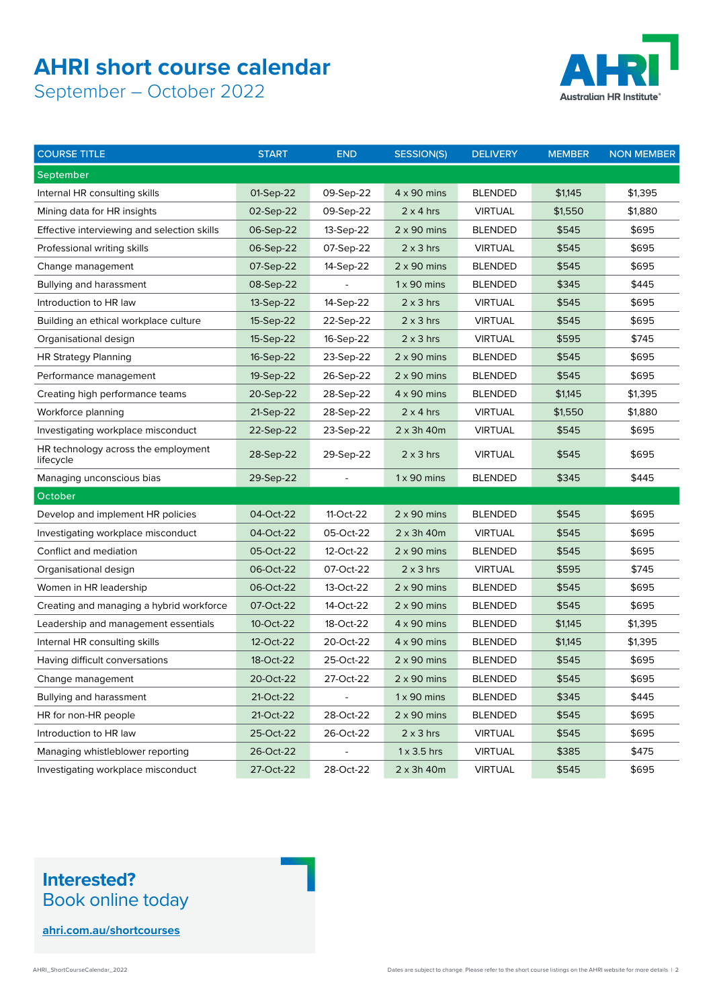## **AHRI short course calendar**

September – October 2022



| <b>COURSE TITLE</b>                              | <b>START</b> | <b>END</b> | <b>SESSION(S)</b>  | <b>DELIVERY</b> | <b>MEMBER</b> | <b>NON MEMBER</b> |
|--------------------------------------------------|--------------|------------|--------------------|-----------------|---------------|-------------------|
| September                                        |              |            |                    |                 |               |                   |
| Internal HR consulting skills                    | 01-Sep-22    | 09-Sep-22  | $4 \times 90$ mins | <b>BLENDED</b>  | \$1,145       | \$1,395           |
| Mining data for HR insights                      | 02-Sep-22    | 09-Sep-22  | $2 \times 4$ hrs   | <b>VIRTUAL</b>  | \$1,550       | \$1,880           |
| Effective interviewing and selection skills      | 06-Sep-22    | 13-Sep-22  | $2 \times 90$ mins | <b>BLENDED</b>  | \$545         | \$695             |
| Professional writing skills                      | 06-Sep-22    | 07-Sep-22  | $2 \times 3$ hrs   | <b>VIRTUAL</b>  | \$545         | \$695             |
| Change management                                | 07-Sep-22    | 14-Sep-22  | $2 \times 90$ mins | <b>BLENDED</b>  | \$545         | \$695             |
| Bullying and harassment                          | 08-Sep-22    |            | $1 \times 90$ mins | <b>BLENDED</b>  | \$345         | \$445             |
| Introduction to HR law                           | 13-Sep-22    | 14-Sep-22  | $2 \times 3$ hrs   | <b>VIRTUAL</b>  | \$545         | \$695             |
| Building an ethical workplace culture            | 15-Sep-22    | 22-Sep-22  | $2 \times 3$ hrs   | <b>VIRTUAL</b>  | \$545         | \$695             |
| Organisational design                            | 15-Sep-22    | 16-Sep-22  | $2 \times 3$ hrs   | <b>VIRTUAL</b>  | \$595         | \$745             |
| <b>HR Strategy Planning</b>                      | 16-Sep-22    | 23-Sep-22  | $2 \times 90$ mins | <b>BLENDED</b>  | \$545         | \$695             |
| Performance management                           | 19-Sep-22    | 26-Sep-22  | $2 \times 90$ mins | <b>BLENDED</b>  | \$545         | \$695             |
| Creating high performance teams                  | 20-Sep-22    | 28-Sep-22  | $4 \times 90$ mins | <b>BLENDED</b>  | \$1,145       | \$1,395           |
| Workforce planning                               | 21-Sep-22    | 28-Sep-22  | $2 \times 4$ hrs   | <b>VIRTUAL</b>  | \$1,550       | \$1,880           |
| Investigating workplace misconduct               | 22-Sep-22    | 23-Sep-22  | $2 \times 3h$ 40m  | <b>VIRTUAL</b>  | \$545         | \$695             |
| HR technology across the employment<br>lifecycle | 28-Sep-22    | 29-Sep-22  | $2 \times 3$ hrs   | <b>VIRTUAL</b>  | \$545         | \$695             |
| Managing unconscious bias                        | 29-Sep-22    |            | $1 \times 90$ mins | <b>BLENDED</b>  | \$345         | \$445             |
| October                                          |              |            |                    |                 |               |                   |
| Develop and implement HR policies                | 04-Oct-22    | 11-Oct-22  | $2 \times 90$ mins | <b>BLENDED</b>  | \$545         | \$695             |
| Investigating workplace misconduct               | 04-Oct-22    | 05-Oct-22  | $2 \times 3h$ 40m  | <b>VIRTUAL</b>  | \$545         | \$695             |
| Conflict and mediation                           | 05-Oct-22    | 12-Oct-22  | $2 \times 90$ mins | <b>BLENDED</b>  | \$545         | \$695             |
| Organisational design                            | 06-Oct-22    | 07-Oct-22  | $2 \times 3$ hrs   | <b>VIRTUAL</b>  | \$595         | \$745             |
| Women in HR leadership                           | 06-Oct-22    | 13-Oct-22  | $2 \times 90$ mins | <b>BLENDED</b>  | \$545         | \$695             |
| Creating and managing a hybrid workforce         | 07-Oct-22    | 14-Oct-22  | $2 \times 90$ mins | <b>BLENDED</b>  | \$545         | \$695             |
| Leadership and management essentials             | 10-Oct-22    | 18-Oct-22  | $4 \times 90$ mins | <b>BLENDED</b>  | \$1,145       | \$1,395           |
| Internal HR consulting skills                    | 12-Oct-22    | 20-Oct-22  | $4 \times 90$ mins | <b>BLENDED</b>  | \$1,145       | \$1,395           |
| Having difficult conversations                   | 18-Oct-22    | 25-Oct-22  | $2 \times 90$ mins | <b>BLENDED</b>  | \$545         | \$695             |
| Change management                                | 20-Oct-22    | 27-Oct-22  | $2 \times 90$ mins | <b>BLENDED</b>  | \$545         | \$695             |
| Bullying and harassment                          | 21-Oct-22    | $\Box$     | $1 \times 90$ mins | <b>BLENDED</b>  | \$345         | \$445             |
| HR for non-HR people                             | 21-Oct-22    | 28-Oct-22  | $2 \times 90$ mins | <b>BLENDED</b>  | \$545         | \$695             |
| Introduction to HR law                           | 25-Oct-22    | 26-Oct-22  | $2 \times 3$ hrs   | <b>VIRTUAL</b>  | \$545         | \$695             |
| Managing whistleblower reporting                 | 26-Oct-22    |            | $1 \times 3.5$ hrs | <b>VIRTUAL</b>  | \$385         | \$475             |
| Investigating workplace misconduct               | 27-Oct-22    | 28-Oct-22  | $2 \times 3h$ 40m  | <b>VIRTUAL</b>  | \$545         | \$695             |

#### **Interested?**  Book online today

**[ahri.com.au/shortcourses](https://www.ahri.com.au/continuing-professional-development/education-and-training/short-courses/)**